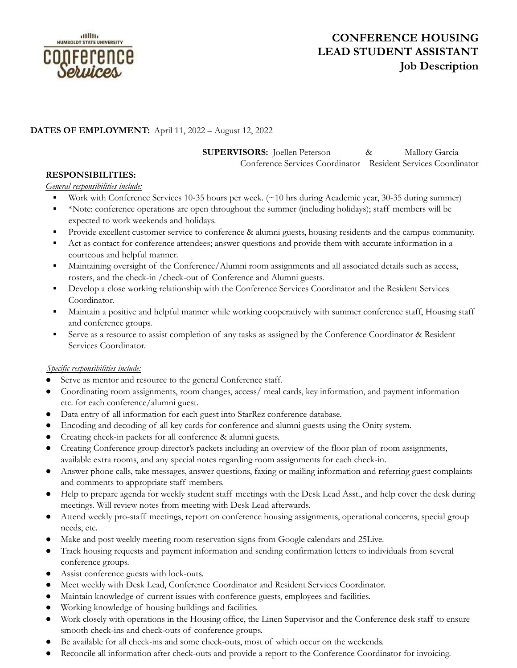

# **CONFERENCE HOUSING LEAD STUDENT ASSISTANT Job Description**

# **DATES OF EMPLOYMENT:** April 11, 2022 – August 12, 2022

**SUPERVISORS:** Joellen Peterson & Mallory Garcia

Conference Services Coordinator Resident Services Coordinator

## **RESPONSIBILITIES:**

#### *General responsibilities include:*

- Work with Conference Services 10-35 hours per week. (~10 hrs during Academic year, 30-35 during summer)
- \*Note: conference operations are open throughout the summer (including holidays); staff members will be expected to work weekends and holidays.
- Provide excellent customer service to conference & alumni guests, housing residents and the campus community.
- Act as contact for conference attendees; answer questions and provide them with accurate information in a courteous and helpful manner.
- Maintaining oversight of the Conference/Alumni room assignments and all associated details such as access, rosters, and the check-in /check-out of Conference and Alumni guests.
- **•** Develop a close working relationship with the Conference Services Coordinator and the Resident Services Coordinator.
- Maintain a positive and helpful manner while working cooperatively with summer conference staff, Housing staff and conference groups.
- Serve as a resource to assist completion of any tasks as assigned by the Conference Coordinator & Resident Services Coordinator.

#### *Specific responsibilities include:*

- Serve as mentor and resource to the general Conference staff.
- Coordinating room assignments, room changes, access/ meal cards, key information, and payment information etc. for each conference/alumni guest.
- Data entry of all information for each guest into StarRez conference database.
- Encoding and decoding of all key cards for conference and alumni guests using the Onity system.
- Creating check-in packets for all conference & alumni guests.
- Creating Conference group director's packets including an overview of the floor plan of room assignments, available extra rooms, and any special notes regarding room assignments for each check-in.
- Answer phone calls, take messages, answer questions, faxing or mailing information and referring guest complaints and comments to appropriate staff members.
- Help to prepare agenda for weekly student staff meetings with the Desk Lead Asst., and help cover the desk during meetings. Will review notes from meeting with Desk Lead afterwards.
- Attend weekly pro-staff meetings, report on conference housing assignments, operational concerns, special group needs, etc.
- Make and post weekly meeting room reservation signs from Google calendars and 25Live.
- Track housing requests and payment information and sending confirmation letters to individuals from several conference groups.
- Assist conference guests with lock-outs.
- Meet weekly with Desk Lead, Conference Coordinator and Resident Services Coordinator.
- Maintain knowledge of current issues with conference guests, employees and facilities.
- Working knowledge of housing buildings and facilities.
- Work closely with operations in the Housing office, the Linen Supervisor and the Conference desk staff to ensure smooth check-ins and check-outs of conference groups.
- Be available for all check-ins and some check-outs, most of which occur on the weekends.
- Reconcile all information after check-outs and provide a report to the Conference Coordinator for invoicing.